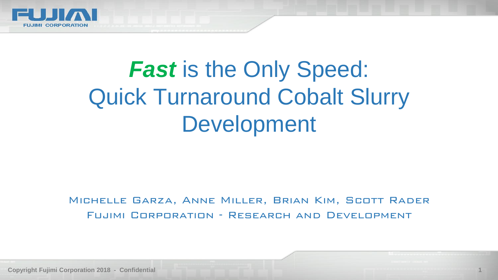

# *Fast* is the Only Speed: Quick Turnaround Cobalt Slurry Development

#### Michelle Garza, Anne Miller, Brian Kim, Scott Rader Fujimi Corporation - Research and Development

**Copyright Fujimi Corporation 2018 - Confidential 1**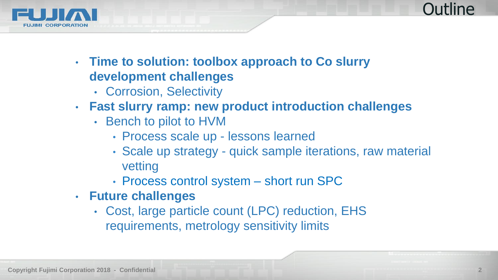

**Outline** 

- **Time to solution: toolbox approach to Co slurry development challenges**
	- Corrosion, Selectivity
- **Fast slurry ramp: new product introduction challenges**
	- Bench to pilot to HVM
		- Process scale up lessons learned
		- Scale up strategy quick sample iterations, raw material vetting
		- Process control system short run SPC
- **Future challenges**
	- Cost, large particle count (LPC) reduction, EHS requirements, metrology sensitivity limits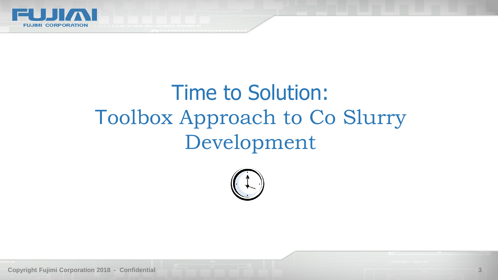

# Time to Solution: Toolbox Approach to Co Slurry Development



**Copyright Fujimi Corporation 2018 - Confidential 3**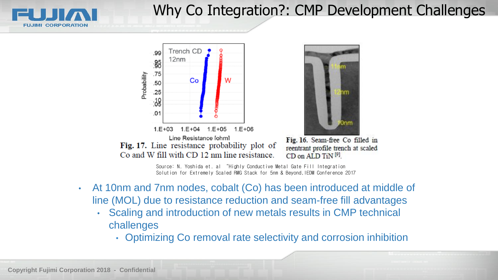

# Why Co Integration?: CMP Development Challenges





Fig. 16. Seam-free Co filled in reentrant profile trench at scaled CD on ALD TiN<sup>[9]</sup>

Source: N. Yoshida et. al "Highly Conductive Metal Gate Fill Integration Solution for Extremely Scaled RMG Stack for 5nm & Beyond,IEDM Conference 2017

- At 10nm and 7nm nodes, cobalt (Co) has been introduced at middle of line (MOL) due to resistance reduction and seam-free fill advantages
	- Scaling and introduction of new metals results in CMP technical challenges
		- Optimizing Co removal rate selectivity and corrosion inhibition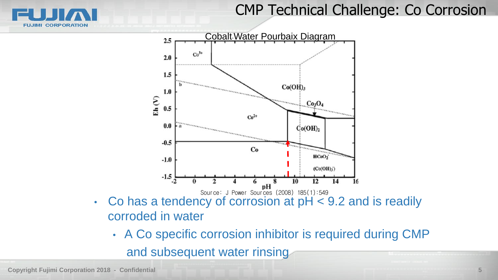# CMP Technical Challenge: Co Corrosion





- corroded in water
	- A Co specific corrosion inhibitor is required during CMP and subsequent water rinsing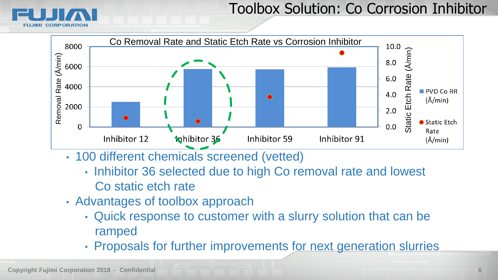

### Toolbox Solution: Co Corrosion Inhibitor



- 100 different chemicals screened (vetted)
	- Inhibitor 36 selected due to high Co removal rate and lowest Co static etch rate
- Advantages of toolbox approach
	- Quick response to customer with a slurry solution that can be ramped
	- Proposals for further improvements for next generation slurries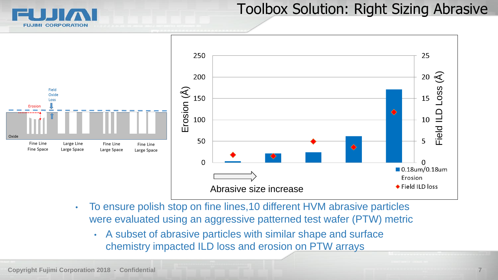**CORPORATION** 

#### Toolbox Solution: Right Sizing Abrasive



• To ensure polish stop on fine lines,10 different HVM abrasive particles were evaluated using an aggressive patterned test wafer (PTW) metric

• A subset of abrasive particles with similar shape and surface chemistry impacted ILD loss and erosion on PTW arrays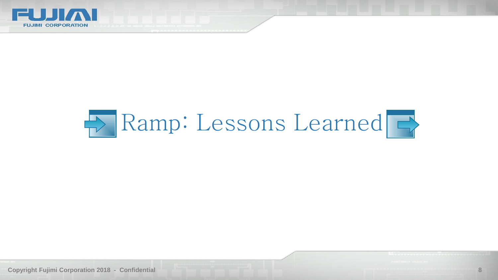

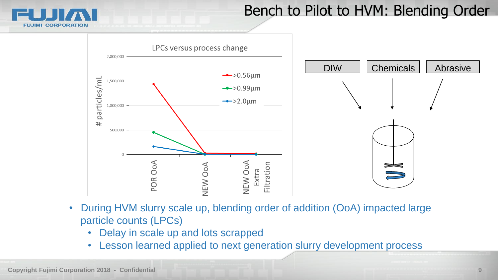

# Bench to Pilot to HVM: Blending Order



- During HVM slurry scale up, blending order of addition (OoA) impacted large particle counts (LPCs)
	- Delay in scale up and lots scrapped
	- Lesson learned applied to next generation slurry development process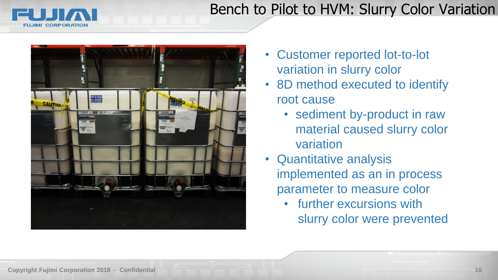# Bench to Pilot to HVM: Slurry Color Variation





- Customer reported lot-to-lot variation in slurry color
- 8D method executed to identify root cause
	- sediment by-product in raw material caused slurry color variation
- Quantitative analysis implemented as an in process parameter to measure color
	- further excursions with slurry color were prevented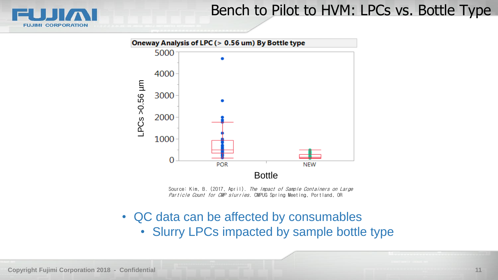

#### Bench to Pilot to HVM: LPCs vs. Bottle Type



Source: Kim, B. (2017, April). The Impact of Sample Containers on Large Particle Count for CMP slurries. CMPUG Spring Meeting, Portland, OR

• QC data can be affected by consumables • Slurry LPCs impacted by sample bottle type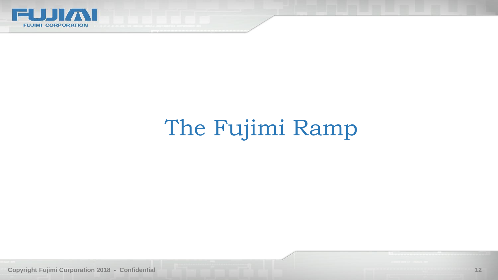

# The Fujimi Ramp

**Copyright Fujimi Corporation 2018 - Confidential 12**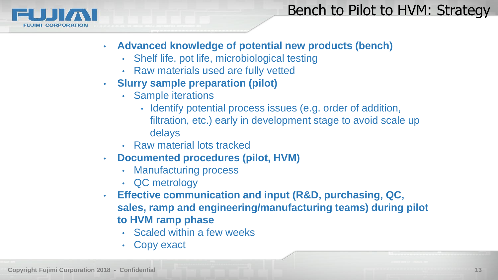

## Bench to Pilot to HVM: Strategy

- **Advanced knowledge of potential new products (bench)**
	- Shelf life, pot life, microbiological testing
	- Raw materials used are fully vetted
- **Slurry sample preparation (pilot)** 
	- Sample iterations
		- Identify potential process issues (e.g. order of addition, filtration, etc.) early in development stage to avoid scale up delays
	- Raw material lots tracked
- **Documented procedures (pilot, HVM)**
	- Manufacturing process
	- QC metrology
- **Effective communication and input (R&D, purchasing, QC, sales, ramp and engineering/manufacturing teams) during pilot to HVM ramp phase** 
	- Scaled within a few weeks
	- Copy exact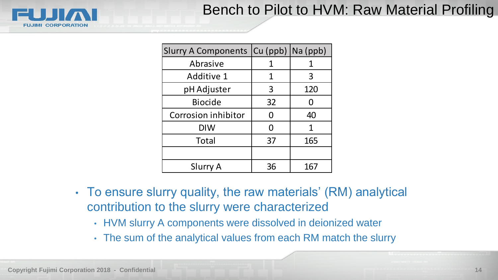# Bench to Pilot to HVM: Raw Material Profiling



| Slurry A Components   Cu (ppb)   Na (ppb) |    |     |
|-------------------------------------------|----|-----|
| Abrasive                                  | 1  | 1   |
| <b>Additive 1</b>                         | 1  | 3   |
| pH Adjuster                               | 3  | 120 |
| <b>Biocide</b>                            | 32 | 0   |
| Corrosion inhibitor                       | N  | 40  |
| <b>DIW</b>                                | N  | 1   |
| Total                                     | 37 | 165 |
|                                           |    |     |
| Slurry A                                  | 36 | 167 |

- To ensure slurry quality, the raw materials' (RM) analytical contribution to the slurry were characterized
	- HVM slurry A components were dissolved in deionized water
	- The sum of the analytical values from each RM match the slurry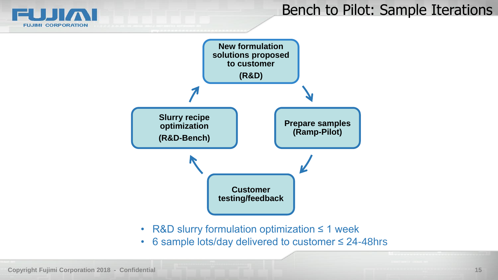

### Bench to Pilot: Sample Iterations



- R&D slurry formulation optimization ≤ 1 week
- 6 sample lots/day delivered to customer ≤ 24-48hrs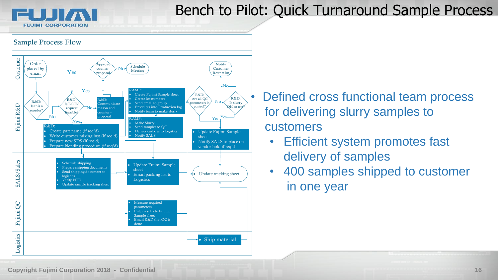**FUJIMI CORPORATION** 

# Bench to Pilot: Quick Turnaround Sample Process



• Defined cross functional team process for delivering slurry samples to customers

- Efficient system promotes fast delivery of samples
- 400 samples shipped to customer in one year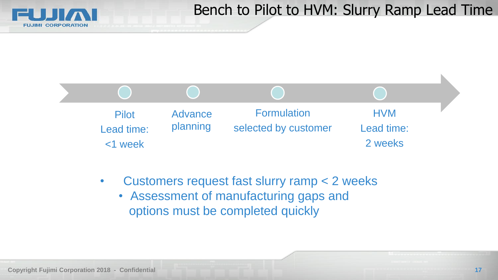

# Bench to Pilot to HVM: Slurry Ramp Lead Time



- Customers request fast slurry ramp < 2 weeks
	- Assessment of manufacturing gaps and options must be completed quickly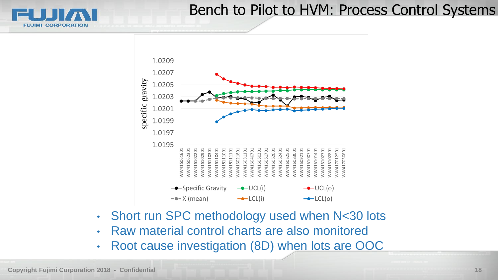#### Bench to Pilot to HVM: Process Control Systems



- Short run SPC methodology used when N<30 lots
- Raw material control charts are also monitored
- 

**FUJIMI CORPORATION**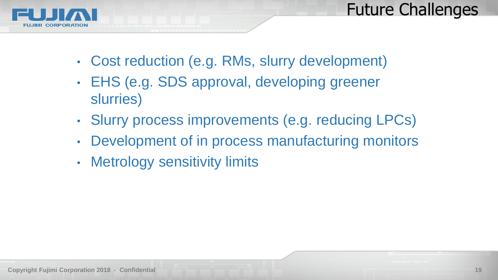



- Cost reduction (e.g. RMs, slurry development)
- EHS (e.g. SDS approval, developing greener slurries)
- Slurry process improvements (e.g. reducing LPCs)
- Development of in process manufacturing monitors
- Metrology sensitivity limits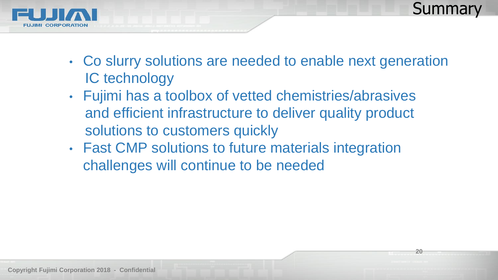

**20**



- Co slurry solutions are needed to enable next generation IC technology
- Fujimi has a toolbox of vetted chemistries/abrasives and efficient infrastructure to deliver quality product solutions to customers quickly
- Fast CMP solutions to future materials integration challenges will continue to be needed